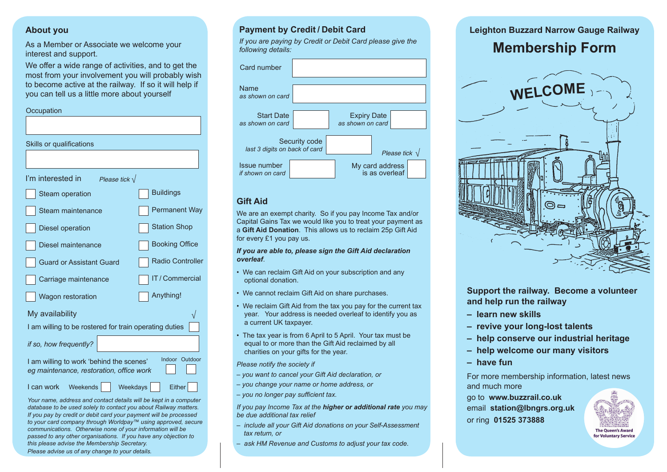#### **About you**

As a Member or Associate we welcome your interest and support.

We offer a wide range of activities, and to get the most from your involvement you will probably wish to become active at the railway. If so it will help if you can tell us a little more about yourself

| Occupation                                                                                             |
|--------------------------------------------------------------------------------------------------------|
|                                                                                                        |
| Skills or qualifications                                                                               |
|                                                                                                        |
| I'm interested in<br>Please tick $\sqrt$                                                               |
| <b>Buildings</b><br><b>Steam operation</b>                                                             |
| <b>Permanent Way</b><br>Steam maintenance                                                              |
| <b>Station Shop</b><br><b>Diesel operation</b>                                                         |
| <b>Booking Office</b><br>Diesel maintenance                                                            |
| <b>Radio Controller</b><br><b>Guard or Assistant Guard</b>                                             |
| <b>IT/Commercial</b><br>Carriage maintenance                                                           |
| Anything!<br><b>Wagon restoration</b>                                                                  |
| My availability                                                                                        |
| I am willing to be rostered for train operating duties                                                 |
| if so, how frequently?                                                                                 |
| Indoor Outdoor<br>I am willing to work 'behind the scenes'<br>eg maintenance, restoration, office work |
| I can work<br>Weekends<br><b>Weekdays</b><br>Either                                                    |

*Your name, address and contact details will be kept in a computer database to be used solely to contact you about Railway matters. If you pay by credit or debit card your payment will be processed to your card company through Worldpay™ using approved, secure communications. Otherwise none of your information will be passed to any other organisations. If you have any objection to this please advise the Membership Secretary.* 

*Please advise us of any change to your details.*

## **Payment by Credit / Debit Card**

*If you are paying by Credit or Debit Card please give the following details:*

| Card number                           |               |                                        |                |                     |
|---------------------------------------|---------------|----------------------------------------|----------------|---------------------|
| Name<br>as shown on card              |               |                                        |                |                     |
| <b>Start Date</b><br>as shown on card |               | <b>Expiry Date</b><br>as shown on card |                |                     |
| last 3 digits on back of card         | Security code |                                        |                | Please tick $\sqrt$ |
| Issue number<br>if shown on card      |               | My card address                        | is as overleaf |                     |

### **Gift Aid**

For the same of the same of the same of the same of the same of the same of the same of the same of the same of the same of the same of the same of the same of the same of the same of the same of the same of the same of th n exempt charity. So if<br>ains Tax we would like<br>**I Donation**. This allows<br>£1 you pay us.<br>**a able to, please sign** t **Product Britannic State We would like you to treat your payment a**<br> **a Gift Aid Donation**. This allows us to reclaim 25p Gift Aid<br>
for every £1 you pay us.<br> **If you are able to, please sign the Gift Aid declaration**<br> **ove** We are an exempt charity. So if you pay Income Tax and/or Capital Gains Tax we would like you to treat your payment as for every £1 you pay us.

*If you are able to, please sign the Gift Aid declaration overleaf*.

- **b, please sign the trade.**<br>In Gift Aid on your sul<br>laim Gift Aid on shar • We can reclaim Gift Aid on your subscription and any optional donation.
- We cannot reclaim Gift Aid on share purchases.
- We reclaim Gift Aid from the tax you pay for the current tax year. Your address is needed overleaf to identify you as a current UK taxpayer.
- The tax year is from 6 April to 5 April. Your tax must be equal to or more than the Gift Aid reclaimed by all charities on your gifts for the year.

*Please notify the society if* 

- *you want to cancel your Gift Aid declaration, or*
- *you change your name or home address, or*
- *you no longer pay sufficient tax.*

*If you pay Income Tax at the higher or additional rate you may be due additional tax relief* 

- *include all your Gift Aid donations on your Self-Assessment tax return, or*
- *ask HM Revenue and Customs to adjust your tax code.*

## **Leighton Buzzard Narrow Gauge Railway**

# **Membership Form**



**Support the railway. Become a volunteer and help run the railway**

- **learn new skills**
- **revive your long-lost talents**
- **help conserve our industrial heritage**
- **help welcome our many visitors**
- **have fun**

For more membership information, latest news and much more

go to **www.buzzrail.co.uk** email **station@lbngrs.org.uk** or ring **01525 373888**